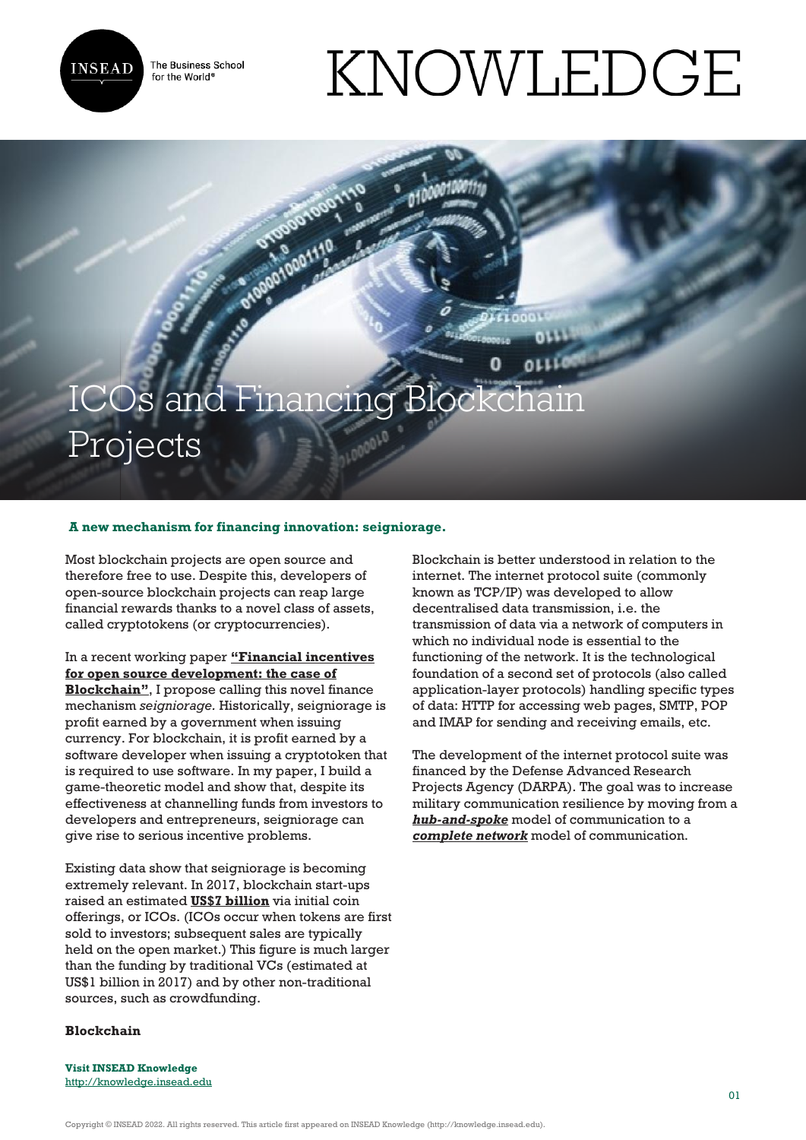

The Business School for the World<sup>®</sup>

# KNOWLEDGE

# ICOs and Financing Block Projects

## **A new mechanism for financing innovation: seigniorage.**

Most blockchain projects are open source and therefore free to use. Despite this, developers of open-source blockchain projects can reap large financial rewards thanks to a novel class of assets, called cryptotokens (or cryptocurrencies).

In a recent working paper **["Financial incentives](https://econpapers.repec.org/paper/pramprapa/85352.htm) [for open source development: the case of](https://econpapers.repec.org/paper/pramprapa/85352.htm) [Blockchain"](https://econpapers.repec.org/paper/pramprapa/85352.htm)**, I propose calling this novel finance mechanism *seigniorage.* Historically, seigniorage is profit earned by a government when issuing currency. For blockchain, it is profit earned by a software developer when issuing a cryptotoken that is required to use software. In my paper, I build a game-theoretic model and show that, despite its effectiveness at channelling funds from investors to developers and entrepreneurs, seigniorage can give rise to serious incentive problems.

Existing data show that seigniorage is becoming extremely relevant. In 2017, blockchain start-ups raised an estimated **[US\\$7 billion](https://papers.ssrn.com/sol3/papers.cfm?abstract_id=3137213)** via initial coin offerings, or ICOs. (ICOs occur when tokens are first sold to investors; subsequent sales are typically held on the open market.) This figure is much larger than the funding by traditional VCs (estimated at US\$1 billion in 2017) and by other non-traditional sources, such as crowdfunding.

Blockchain is better understood in relation to the internet. The internet protocol suite (commonly known as TCP/IP) was developed to allow decentralised data transmission, i.e. the transmission of data via a network of computers in which no individual node is essential to the functioning of the network. It is the technological foundation of a second set of protocols (also called application-layer protocols) handling specific types of data: HTTP for accessing web pages, SMTP, POP and IMAP for sending and receiving emails, etc.

The development of the internet protocol suite was financed by the Defense Advanced Research Projects Agency (DARPA). The goal was to increase military communication resilience by moving from a *[hub-and-spoke](https://commons.wikimedia.org/wiki/File:StarNetwork.svg)* model of communication to a *[complete network](https://commons.wikimedia.org/wiki/File:FullMeshNetwork.svg)* model of communication.

#### **Blockchain**

**Visit INSEAD Knowledge** http://knowledge.insead.edu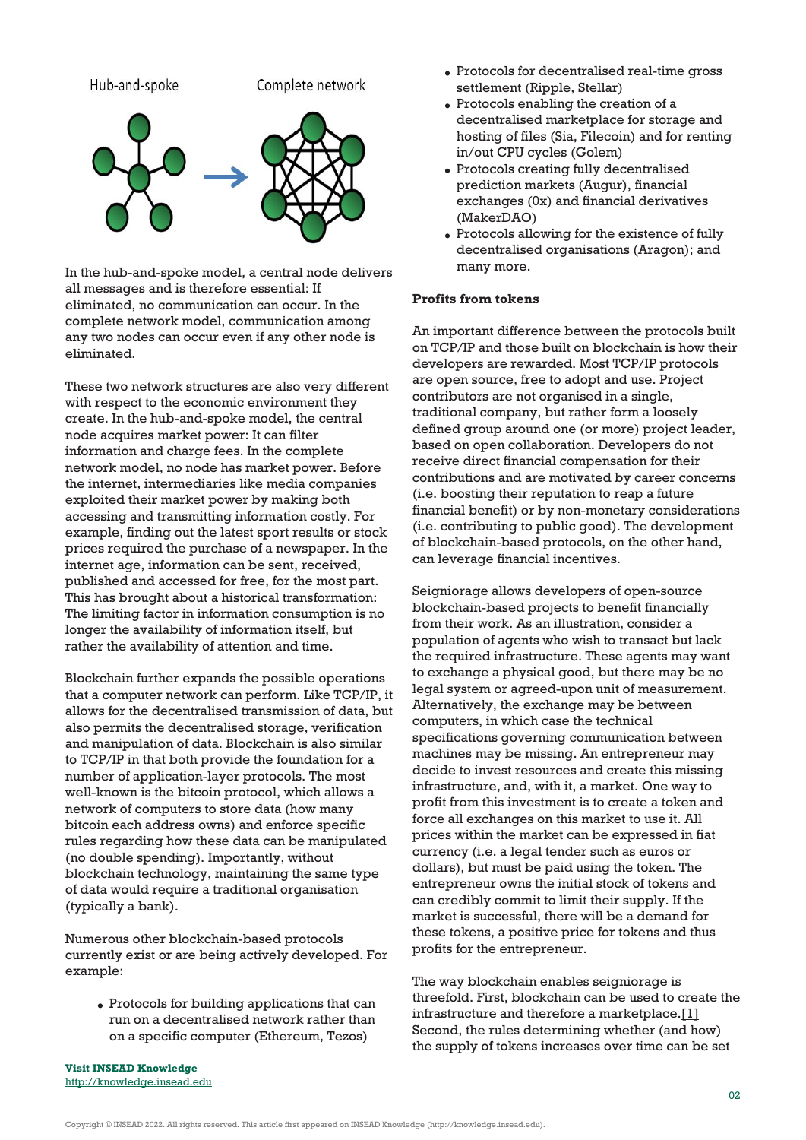

In the hub-and-spoke model, a central node delivers all messages and is therefore essential: If eliminated, no communication can occur. In the complete network model, communication among any two nodes can occur even if any other node is eliminated.

These two network structures are also very different with respect to the economic environment they create. In the hub-and-spoke model, the central node acquires market power: It can filter information and charge fees. In the complete network model, no node has market power. Before the internet, intermediaries like media companies exploited their market power by making both [accessing and transmitti](http://knowledge.insead.edu)ng information costly. For example, finding out the latest sport results or stock prices required the purchase of a newspaper. In the internet age, information can be sent, received, published and accessed for free, for the most part. This has brought about a historical transformation: The limiting factor in information consumption is no longer the availability of information itself, but rather the availability of attention and time.

Blockchain further expands the possible operations that a computer network can perform. Like TCP/IP, it allows for the decentralised transmission of data, but also permits the decentralised storage, verification and manipulation of data. Blockchain is also similar to TCP/IP in that both provide the foundation for a number of application-layer protocols. The most well-known is the bitcoin protocol, which allows a network of computers to store data (how many bitcoin each address owns) and enforce specific rules regarding how these data can be manipulated (no double spending). Importantly, without blockchain technology, maintaining the same type of data would require a traditional organisation (typically a bank).

Numerous other blockchain-based protocols currently exist or are being actively developed. For example:

Protocols for building applications that can run on a decentralised network rather than on a specific computer (Ethereum, Tezos)

- Protocols for decentralised real-time gross settlement (Ripple, Stellar)
- Protocols enabling the creation of a decentralised marketplace for storage and hosting of files (Sia, Filecoin) and for renting in/out CPU cycles (Golem)
- Protocols creating fully decentralised prediction markets (Augur), financial exchanges (0x) and financial derivatives (MakerDAO)
- Protocols allowing for the existence of fully decentralised organisations (Aragon); and many more.

#### **Profits from tokens**

An important difference between the protocols built on TCP/IP and those built on blockchain is how their developers are rewarded. Most TCP/IP protocols are open source, free to adopt and use. Project contributors are not organised in a single, traditional company, but rather form a loosely defined group around one (or more) project leader, based on open collaboration. Developers do not receive direct financial compensation for their contributions and are motivated by career concerns (i.e. boosting their reputation to reap a future financial benefit) or by non-monetary considerations (i.e. contributing to public good). The development of blockchain-based protocols, on the other hand, can leverage financial incentives.

Seigniorage allows developers of open-source blockchain-based projects to benefit financially from their work. As an illustration, consider a population of agents who wish to transact but lack the required infrastructure. These agents may want to exchange a physical good, but there may be no legal system or agreed-upon unit of measurement. Alternatively, the exchange may be between computers, in which case the technical specifications governing communication between machines may be missing. An entrepreneur may decide to invest resources and create this missing infrastructure, and, with it, a market. One way to profit from this investment is to create a token and force all exchanges on this market to use it. All prices within the market can be expressed in fiat currency (i.e. a legal tender such as euros or dollars), but must be paid using the token. The entrepreneur owns the initial stock of tokens and can credibly commit to limit their supply. If the market is successful, there will be a demand for these tokens, a positive price for tokens and thus profits for the entrepreneur.

The way blockchain enables seigniorage is threefold. First, blockchain can be used to create the infrastructure and therefore a marketplace.[1] Second, the rules determining whether (and how) the supply of tokens increases over time can be set

**Visit INSEAD Knowledge** <http://knowledge.insead.edu>

Copyright © INSEAD 2022. All rights reserved. This article first appeared on INSEAD Knowledge (http://knowledge.insead.edu).